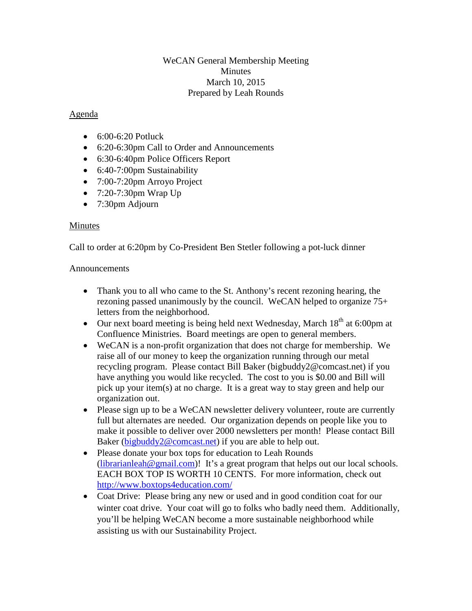## WeCAN General Membership Meeting **Minutes** March 10, 2015 Prepared by Leah Rounds

## Agenda

- 6:00-6:20 Potluck
- 6:20-6:30pm Call to Order and Announcements
- 6:30-6:40pm Police Officers Report
- 6:40-7:00pm Sustainability
- 7:00-7:20pm Arroyo Project
- 7:20-7:30pm Wrap Up
- 7:30pm Adjourn

## Minutes

Call to order at 6:20pm by Co-President Ben Stetler following a pot-luck dinner

#### Announcements

- Thank you to all who came to the St. Anthony's recent rezoning hearing, the rezoning passed unanimously by the council. WeCAN helped to organize 75+ letters from the neighborhood.
- Our next board meeting is being held next Wednesday, March  $18<sup>th</sup>$  at 6:00pm at Confluence Ministries. Board meetings are open to general members.
- WeCAN is a non-profit organization that does not charge for membership. We raise all of our money to keep the organization running through our metal recycling program. Please contact Bill Baker (bigbuddy2@comcast.net) if you have anything you would like recycled. The cost to you is \$0.00 and Bill will pick up your item(s) at no charge. It is a great way to stay green and help our organization out.
- Please sign up to be a WeCAN newsletter delivery volunteer, route are currently full but alternates are needed. Our organization depends on people like you to make it possible to deliver over 2000 newsletters per month! Please contact Bill Baker [\(bigbuddy2@comcast.net\)](mailto:bigbuddy2@comcast.net) if you are able to help out.
- Please donate your box tops for education to Leah Rounds [\(librarianleah@gmail.com\)](mailto:librarianleah@gmail.com)! It's a great program that helps out our local schools. EACH BOX TOP IS WORTH 10 CENTS. For more information, check out <http://www.boxtops4education.com/>
- Coat Drive: Please bring any new or used and in good condition coat for our winter coat drive. Your coat will go to folks who badly need them. Additionally, you'll be helping WeCAN become a more sustainable neighborhood while assisting us with our Sustainability Project.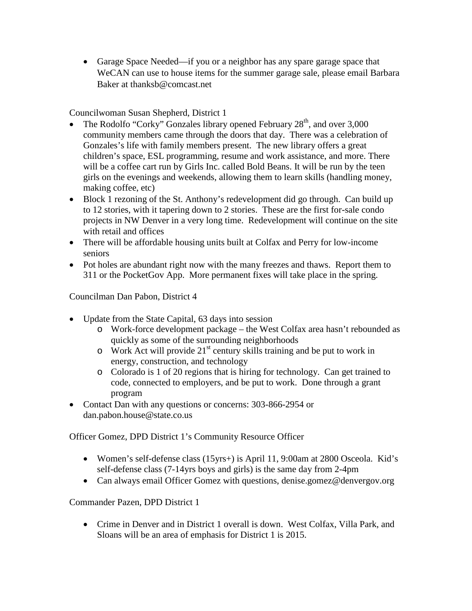• Garage Space Needed—if you or a neighbor has any spare garage space that WeCAN can use to house items for the summer garage sale, please email Barbara Baker at thanksb@comcast.net

Councilwoman Susan Shepherd, District 1

- The Rodolfo "Corky" Gonzales library opened February  $28<sup>th</sup>$ , and over 3,000 community members came through the doors that day. There was a celebration of Gonzales's life with family members present. The new library offers a great children's space, ESL programming, resume and work assistance, and more. There will be a coffee cart run by Girls Inc. called Bold Beans. It will be run by the teen girls on the evenings and weekends, allowing them to learn skills (handling money, making coffee, etc)
- Block 1 rezoning of the St. Anthony's redevelopment did go through. Can build up to 12 stories, with it tapering down to 2 stories. These are the first for-sale condo projects in NW Denver in a very long time. Redevelopment will continue on the site with retail and offices
- There will be affordable housing units built at Colfax and Perry for low-income seniors
- Pot holes are abundant right now with the many freezes and thaws. Report them to 311 or the PocketGov App. More permanent fixes will take place in the spring.

Councilman Dan Pabon, District 4

- Update from the State Capital, 63 days into session
	- o Work-force development package the West Colfax area hasn't rebounded as quickly as some of the surrounding neighborhoods
	- $\sigma$  Work Act will provide 21<sup>st</sup> century skills training and be put to work in energy, construction, and technology
	- o Colorado is 1 of 20 regions that is hiring for technology. Can get trained to code, connected to employers, and be put to work. Done through a grant program
- Contact Dan with any questions or concerns: 303-866-2954 or dan.pabon.house@state.co.us

Officer Gomez, DPD District 1's Community Resource Officer

- Women's self-defense class (15yrs+) is April 11, 9:00am at 2800 Osceola. Kid's self-defense class (7-14yrs boys and girls) is the same day from 2-4pm
- Can always email Officer Gomez with questions, denise.gomez@denvergov.org

Commander Pazen, DPD District 1

• Crime in Denver and in District 1 overall is down. West Colfax, Villa Park, and Sloans will be an area of emphasis for District 1 is 2015.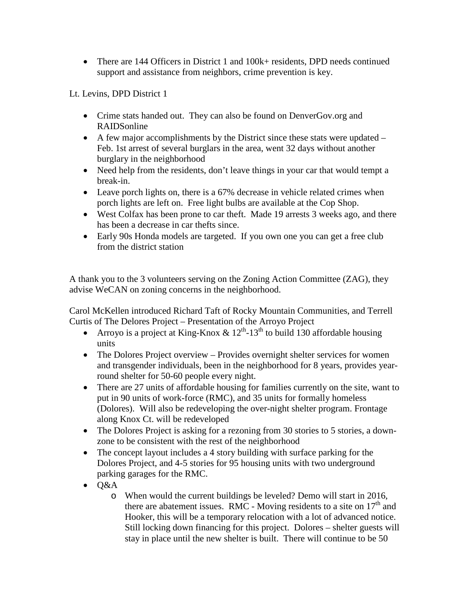• There are 144 Officers in District 1 and 100k+ residents, DPD needs continued support and assistance from neighbors, crime prevention is key.

Lt. Levins, DPD District 1

- Crime stats handed out. They can also be found on DenverGov.org and RAIDSonline
- A few major accomplishments by the District since these stats were updated Feb. 1st arrest of several burglars in the area, went 32 days without another burglary in the neighborhood
- Need help from the residents, don't leave things in your car that would tempt a break-in.
- Leave porch lights on, there is a 67% decrease in vehicle related crimes when porch lights are left on. Free light bulbs are available at the Cop Shop.
- West Colfax has been prone to car theft. Made 19 arrests 3 weeks ago, and there has been a decrease in car thefts since.
- Early 90s Honda models are targeted. If you own one you can get a free club from the district station

A thank you to the 3 volunteers serving on the Zoning Action Committee (ZAG), they advise WeCAN on zoning concerns in the neighborhood.

Carol McKellen introduced Richard Taft of Rocky Mountain Communities, and Terrell Curtis of The Delores Project – Presentation of the Arroyo Project

- Arroyo is a project at King-Knox  $\& 12^{th}$ -13<sup>th</sup> to build 130 affordable housing units
- The Dolores Project overview Provides overnight shelter services for women and transgender individuals, been in the neighborhood for 8 years, provides yearround shelter for 50-60 people every night.
- There are 27 units of affordable housing for families currently on the site, want to put in 90 units of work-force (RMC), and 35 units for formally homeless (Dolores). Will also be redeveloping the over-night shelter program. Frontage along Knox Ct. will be redeveloped
- The Dolores Project is asking for a rezoning from 30 stories to 5 stories, a downzone to be consistent with the rest of the neighborhood
- The concept layout includes a 4 story building with surface parking for the Dolores Project, and 4-5 stories for 95 housing units with two underground parking garages for the RMC.
- $\bullet$  O&A
	- o When would the current buildings be leveled? Demo will start in 2016, there are abatement issues. RMC - Moving residents to a site on  $17<sup>th</sup>$  and Hooker, this will be a temporary relocation with a lot of advanced notice. Still locking down financing for this project. Dolores – shelter guests will stay in place until the new shelter is built. There will continue to be 50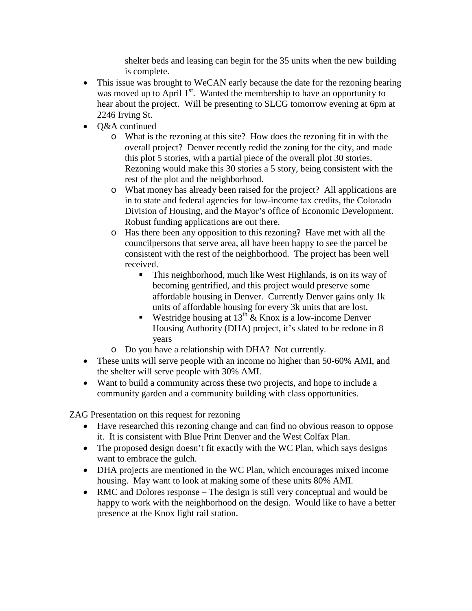shelter beds and leasing can begin for the 35 units when the new building is complete.

- This issue was brought to WeCAN early because the date for the rezoning hearing was moved up to April 1<sup>st</sup>. Wanted the membership to have an opportunity to hear about the project. Will be presenting to SLCG tomorrow evening at 6pm at 2246 Irving St.
- Q&A continued
	- o What is the rezoning at this site? How does the rezoning fit in with the overall project? Denver recently redid the zoning for the city, and made this plot 5 stories, with a partial piece of the overall plot 30 stories. Rezoning would make this 30 stories a 5 story, being consistent with the rest of the plot and the neighborhood.
	- o What money has already been raised for the project? All applications are in to state and federal agencies for low-income tax credits, the Colorado Division of Housing, and the Mayor's office of Economic Development. Robust funding applications are out there.
	- o Has there been any opposition to this rezoning? Have met with all the councilpersons that serve area, all have been happy to see the parcel be consistent with the rest of the neighborhood. The project has been well received.
		- This neighborhood, much like West Highlands, is on its way of becoming gentrified, and this project would preserve some affordable housing in Denver. Currently Denver gains only 1k units of affordable housing for every 3k units that are lost.
		- Westridge housing at  $13^{th}$  & Knox is a low-income Denver Housing Authority (DHA) project, it's slated to be redone in 8 years
	- o Do you have a relationship with DHA? Not currently.
- These units will serve people with an income no higher than 50-60% AMI, and the shelter will serve people with 30% AMI.
- Want to build a community across these two projects, and hope to include a community garden and a community building with class opportunities.

ZAG Presentation on this request for rezoning

- Have researched this rezoning change and can find no obvious reason to oppose it. It is consistent with Blue Print Denver and the West Colfax Plan.
- The proposed design doesn't fit exactly with the WC Plan, which says designs want to embrace the gulch.
- DHA projects are mentioned in the WC Plan, which encourages mixed income housing. May want to look at making some of these units 80% AMI.
- RMC and Dolores response The design is still very conceptual and would be happy to work with the neighborhood on the design. Would like to have a better presence at the Knox light rail station.